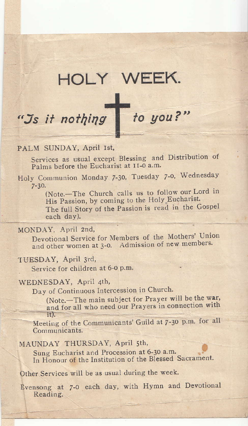## HOLY WEEK.

# "Js it nothing to you?"

#### PALM SUNDAY, April Ist,

Services as usual except Blessing and Distribution of Palms before the Eucharist at II-0 a.m.

Holy Communion Monday 7-30, Tuesday 7-0, Wednesday  $7 - 30.$ 

(Note.-The Church calls us to follow our Lord in His Passion, by coming to the Holy Eucharist. The full Story of the Passion is read in the Gospel each day).

#### MONDAY, April 2nd,

Devotional Service for Members of the Mothers' Union and other women at 3-0. Admission of new members.

#### TUESDAY, April 3rd,

Service for children at 6-0 p.m.

#### WEDNESDAY, April 4th,

Day of Continuous Intercession in Church.

(Note.-The main subject for Prayer will be the war, and for all who need our Prayers in connection with  $it)$ .

Meeting of the Communicants' Guild at 7-30 p.m. for all Communicants.

#### MAUNDAY THURSDAY, April 5th,

Sung Eucharist and Procession at 6-30 a.m. In Honour of the Institution of the Blessed Sacrament.

Other Services will be as usual during the week.

Evensong at 7-0 each day, with Hymn and Devotional Reading.